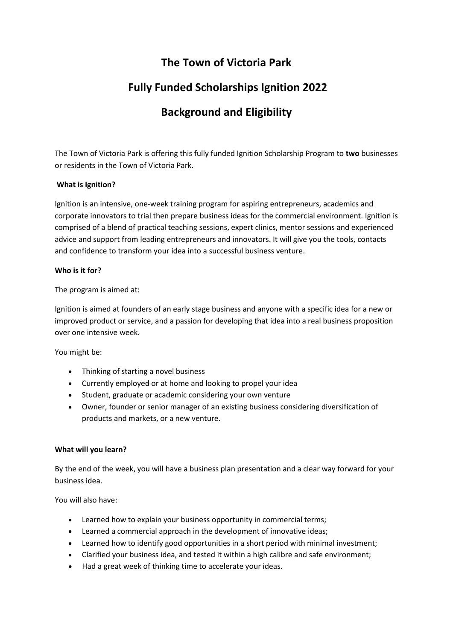## **The Town of Victoria Park**

# **Fully Funded Scholarships Ignition 2022**

# **Background and Eligibility**

The Town of Victoria Park is offering this fully funded Ignition Scholarship Program to **two** businesses or residents in the Town of Victoria Park.

### **What is Ignition?**

Ignition is an intensive, one-week training program for aspiring entrepreneurs, academics and corporate innovators to trial then prepare business ideas for the commercial environment. Ignition is comprised of a blend of practical teaching sessions, expert clinics, mentor sessions and experienced advice and support from leading entrepreneurs and innovators. It will give you the tools, contacts and confidence to transform your idea into a successful business venture.

### **Who is it for?**

The program is aimed at:

Ignition is aimed at founders of an early stage business and anyone with a specific idea for a new or improved product or service, and a passion for developing that idea into a real business proposition over one intensive week.

You might be:

- Thinking of starting a novel business
- Currently employed or at home and looking to propel your idea
- Student, graduate or academic considering your own venture
- Owner, founder or senior manager of an existing business considering diversification of products and markets, or a new venture.

### **What will you learn?**

By the end of the week, you will have a business plan presentation and a clear way forward for your business idea.

You will also have:

- Learned how to explain your business opportunity in commercial terms;
- Learned a commercial approach in the development of innovative ideas;
- Learned how to identify good opportunities in a short period with minimal investment;
- Clarified your business idea, and tested it within a high calibre and safe environment;
- Had a great week of thinking time to accelerate your ideas.